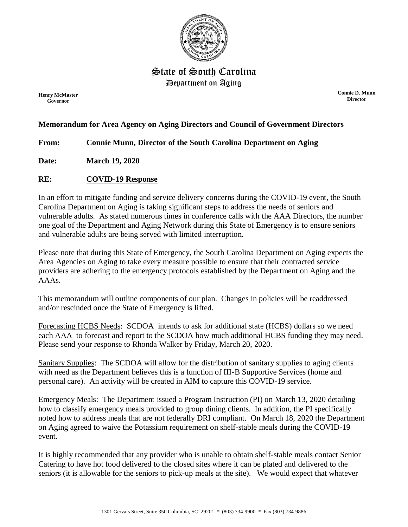

## State of South Carolina Department on Aging

**Henry McMaster Governor**

**Connie D. Munn Director**

## **Memorandum for Area Agency on Aging Directors and Council of Government Directors**

**From: Connie Munn, Director of the South Carolina Department on Aging**

**Date: March 19, 2020**

## **RE: COVID-19 Response**

In an effort to mitigate funding and service delivery concerns during the COVID-19 event, the South Carolina Department on Aging is taking significant steps to address the needs of seniors and vulnerable adults. As stated numerous times in conference calls with the AAA Directors, the number one goal of the Department and Aging Network during this State of Emergency is to ensure seniors and vulnerable adults are being served with limited interruption.

Please note that during this State of Emergency, the South Carolina Department on Aging expects the Area Agencies on Aging to take every measure possible to ensure that their contracted service providers are adhering to the emergency protocols established by the Department on Aging and the AAAs.

This memorandum will outline components of our plan. Changes in policies will be readdressed and/or rescinded once the State of Emergency is lifted.

Forecasting HCBS Needs: SCDOA intends to ask for additional state (HCBS) dollars so we need each AAA to forecast and report to the SCDOA how much additional HCBS funding they may need. Please send your response to Rhonda Walker by Friday, March 20, 2020.

Sanitary Supplies: The SCDOA will allow for the distribution of sanitary supplies to aging clients with need as the Department believes this is a function of III-B Supportive Services (home and personal care). An activity will be created in AIM to capture this COVID-19 service.

Emergency Meals: The Department issued a Program Instruction (PI) on March 13, 2020 detailing how to classify emergency meals provided to group dining clients. In addition, the PI specifically noted how to address meals that are not federally DRI compliant. On March 18, 2020 the Department on Aging agreed to waive the Potassium requirement on shelf-stable meals during the COVID-19 event.

It is highly recommended that any provider who is unable to obtain shelf-stable meals contact Senior Catering to have hot food delivered to the closed sites where it can be plated and delivered to the seniors (it is allowable for the seniors to pick-up meals at the site). We would expect that whatever